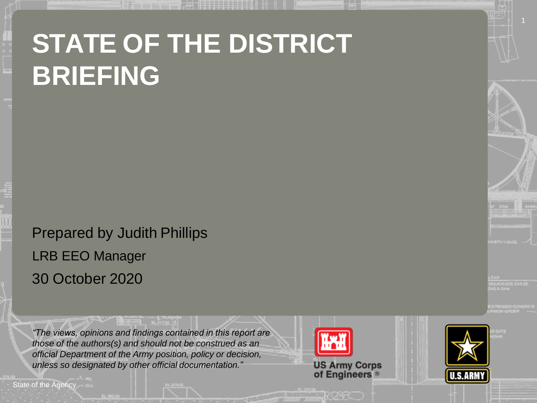# **STATE OF THE DISTRICT BRIEFING**

Prepared by Judith Phillips LRB EEO Manager 30 October 2020

*"The views, opinions and findings contained in this report are those of the authors(s) and should not be construed as an official Department of the Army position, policy or decision, unless so designated by other official documentation."*

State of the Agency



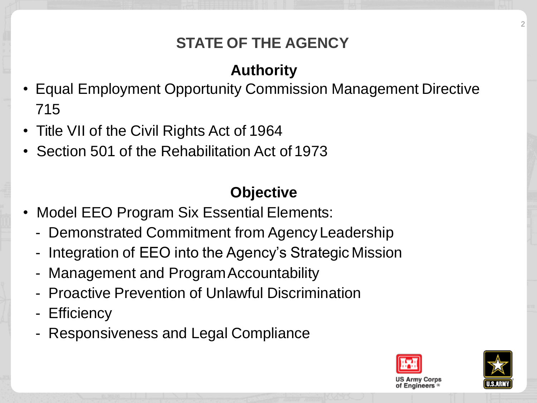## **STATE OF THE AGENCY**

## **Authority**

- Equal Employment Opportunity Commission Management Directive 715
- Title VII of the Civil Rights Act of 1964
- Section 501 of the Rehabilitation Act of 1973

## **Objective**

- Model EEO Program Six Essential Elements:
	- Demonstrated Commitment from Agency Leadership
	- Integration of EEO into the Agency's Strategic Mission
	- Management and Program Accountability
	- Proactive Prevention of Unlawful Discrimination
	- Efficiency
	- Responsiveness and Legal Compliance



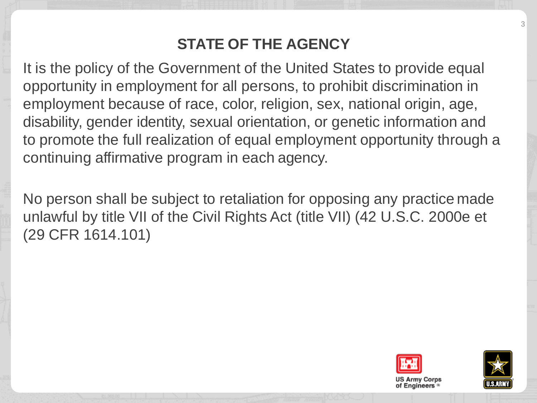#### **STATE OF THE AGENCY**

It is the policy of the Government of the United States to provide equal opportunity in employment for all persons, to prohibit discrimination in employment because of race, color, religion, sex, national origin, age, disability, gender identity, sexual orientation, or genetic information and to promote the full realization of equal employment opportunity through a continuing affirmative program in each agency.

No person shall be subject to retaliation for opposing any practice made unlawful by title VII of the Civil Rights Act (title VII) (42 U.S.C. 2000e et (29 CFR 1614.101)





3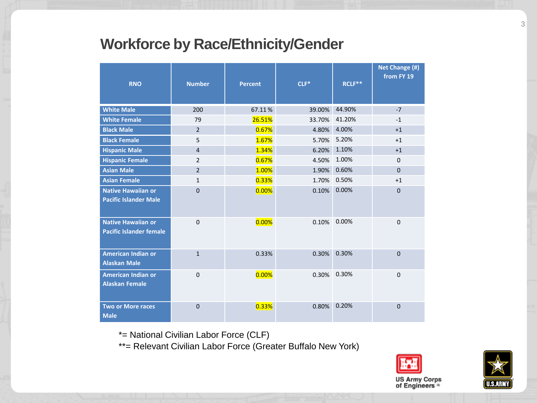#### **Workforce by Race/Ethnicity/Gender**

| <b>RNO</b>                                                  | <b>Number</b>  | <b>Percent</b> | $CLF*$ | RCLF <sup>**</sup> | Net Change (#)<br>from FY 19 |
|-------------------------------------------------------------|----------------|----------------|--------|--------------------|------------------------------|
| <b>White Male</b>                                           | 200            | 67.11%         | 39.00% | 44.90%             | $-7$                         |
| <b>White Female</b>                                         | 79             | 26.51%         | 33.70% | 41.20%             | $-1$                         |
| <b>Black Male</b>                                           | $\overline{2}$ | 0.67%          | 4.80%  | 4.00%              | $+1$                         |
| <b>Black Female</b>                                         | 5              | 1.67%          | 5.70%  | 5.20%              | $+1$                         |
| <b>Hispanic Male</b>                                        | $\overline{4}$ | 1.34%          | 6.20%  | 1.10%              | $+1$                         |
| <b>Hispanic Female</b>                                      | $\overline{2}$ | 0.67%          | 4.50%  | 1.00%              | $\mathbf 0$                  |
| <b>Asian Male</b>                                           | $\overline{2}$ | 1.00%          | 1.90%  | 0.60%              | $\mathbf 0$                  |
| <b>Asian Female</b>                                         | $\mathbf{1}$   | 0.33%          | 1.70%  | 0.50%              | $+1$                         |
| <b>Native Hawaiian or</b><br><b>Pacific Islander Male</b>   | $\overline{0}$ | 0.00%          | 0.10%  | 0.00%              | $\mathbf{0}$                 |
| <b>Native Hawaiian or</b><br><b>Pacific Islander female</b> | $\mathbf 0$    | 0.00%          | 0.10%  | 0.00%              | $\pmb{0}$                    |
| <b>American Indian or</b><br><b>Alaskan Male</b>            | $\mathbf{1}$   | 0.33%          | 0.30%  | 0.30%              | $\overline{0}$               |
| American Indian or<br><b>Alaskan Female</b>                 | $\Omega$       | 0.00%          | 0.30%  | 0.30%              | $\mathbf 0$                  |
| <b>Two or More races</b><br><b>Male</b>                     | $\Omega$       | 0.33%          | 0.80%  | 0.20%              | $\Omega$                     |

\*= National Civilian Labor Force (CLF)

\*\*= Relevant Civilian Labor Force (Greater Buffalo New York)



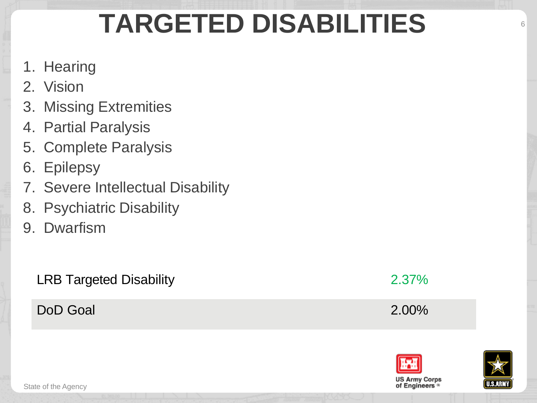# **TARGETED DISABILITIES**

- 1. Hearing
- 2. Vision
- 3. Missing Extremities
- 4. Partial Paralysis
- 5. Complete Paralysis
- 6. Epilepsy
- 7. Severe Intellectual Disability
- 8. Psychiatric Disability
- 9. Dwarfism

LRB Targeted Disability 2.37%

DoD Goal 2.00%





6

State of the Agency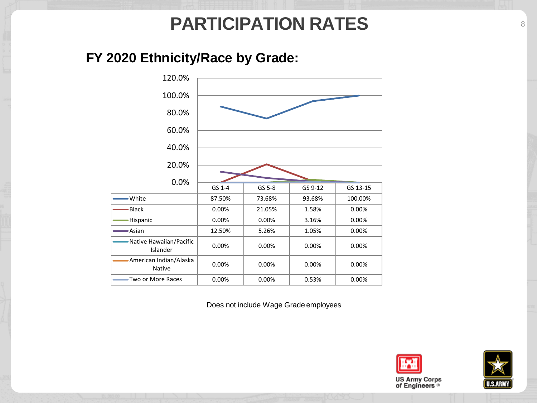# **PARTICIPATION RATES**

#### **FY 2020 Ethnicity/Race by Grade:**



Does not include Wage Grade employees



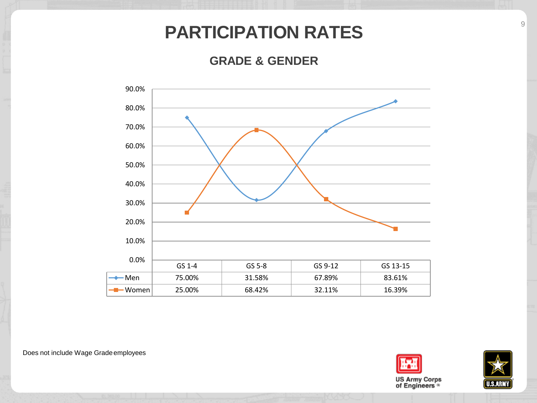## **PARTICIPATION RATES**

**GRADE & GENDER**



Does not include Wage Gradeemployees



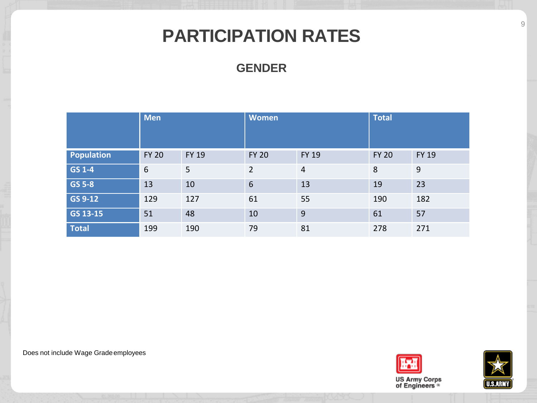# **PARTICIPATION RATES**

#### **GENDER**

|               | <b>Men</b>   |              | <b>Women</b>   |                | <b>Total</b> |              |
|---------------|--------------|--------------|----------------|----------------|--------------|--------------|
| Population    | <b>FY 20</b> | <b>FY 19</b> | <b>FY 20</b>   | <b>FY 19</b>   | <b>FY 20</b> | <b>FY 19</b> |
| GS 1-4        | 6            | 5            | $\overline{2}$ | $\overline{4}$ | 8            | 9            |
| <b>GS 5-8</b> | 13           | 10           | 6              | 13             | 19           | 23           |
| GS 9-12       | 129          | 127          | 61             | 55             | 190          | 182          |
| GS 13-15      | 51           | 48           | 10             | 9              | 61           | 57           |
| <b>Total</b>  | 199          | 190          | 79             | 81             | 278          | 271          |

Does not include Wage Gradeemployees





9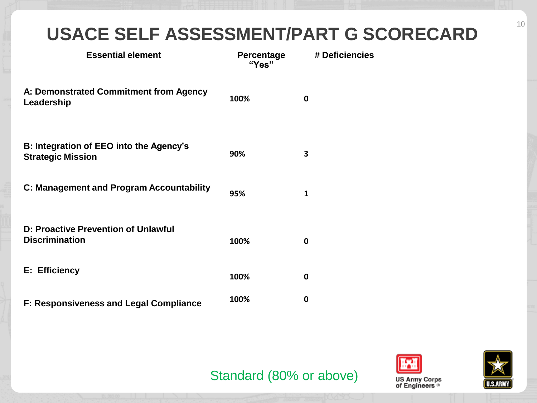# **USACE SELF ASSESSMENT/PART G SCORECARD**

| <b>Essential element</b>                                            | Percentage<br>"Yes" | # Deficiencies |
|---------------------------------------------------------------------|---------------------|----------------|
| A: Demonstrated Commitment from Agency<br>Leadership                | 100%                | $\bf{0}$       |
| B: Integration of EEO into the Agency's<br><b>Strategic Mission</b> | 90%                 | 3              |
| C: Management and Program Accountability                            | 95%                 | 1              |
| D: Proactive Prevention of Unlawful<br><b>Discrimination</b>        | 100%                | $\bf{0}$       |
| E: Efficiency                                                       | 100%                | 0              |
| <b>F: Responsiveness and Legal Compliance</b>                       | 100%                | 0              |

#### Standard (80% or above)





10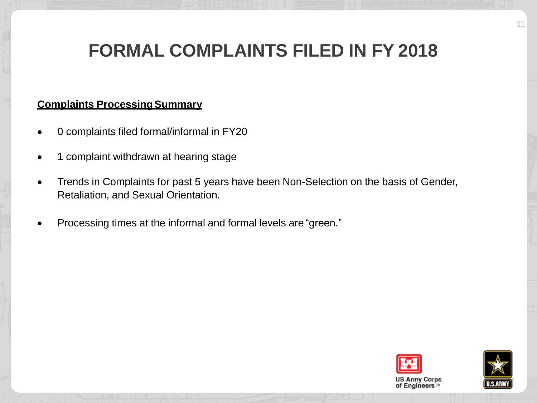# **FORMAL COMPLAINTS FILED IN FY 2018**

#### **Complaints Processing Summary**

- 0 complaints filed formal/informal in FY20
- 1 complaint withdrawn at hearing stage
- Trends in Complaints for past 5 years have been Non-Selection on the basis of Gender, Retaliation, and Sexual Orientation.
- Processing times at the informal and formal levels are "green."



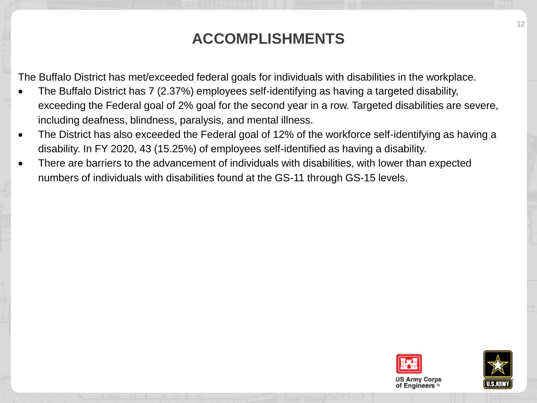#### **ACCOMPLISHMENTS**

The Buffalo District has met/exceeded federal goals for individuals with disabilities in the workplace.

- The Buffalo District has 7 (2.37%) employees self-identifying as having a targeted disability, exceeding the Federal goal of 2% goal for the second year in a row. Targeted disabilities are severe, including deafness, blindness, paralysis, and mental illness.
- The District has also exceeded the Federal goal of 12% of the workforce self-identifying as having a disability. In FY 2020, 43 (15.25%) of employees self-identified as having a disability.
- There are barriers to the advancement of individuals with disabilities, with lower than expected numbers of individuals with disabilities found at the GS-11 through GS-15 levels.



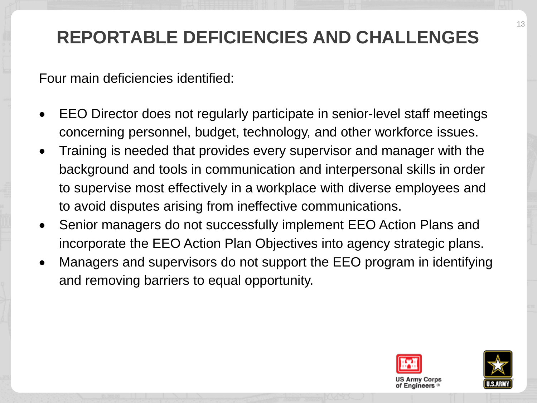# **REPORTABLE DEFICIENCIES AND CHALLENGES**

Four main deficiencies identified:

- EEO Director does not regularly participate in senior-level staff meetings concerning personnel, budget, technology, and other workforce issues.
- Training is needed that provides every supervisor and manager with the background and tools in communication and interpersonal skills in order to supervise most effectively in a workplace with diverse employees and to avoid disputes arising from ineffective communications.
- Senior managers do not successfully implement EEO Action Plans and incorporate the EEO Action Plan Objectives into agency strategic plans.
- Managers and supervisors do not support the EEO program in identifying and removing barriers to equal opportunity.



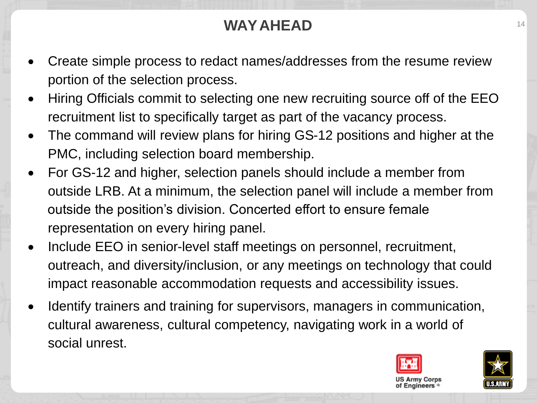## **WAY AHEAD** 14

- Create simple process to redact names/addresses from the resume review portion of the selection process.
- Hiring Officials commit to selecting one new recruiting source off of the EEO recruitment list to specifically target as part of the vacancy process.
- The command will review plans for hiring GS-12 positions and higher at the PMC, including selection board membership.
- For GS-12 and higher, selection panels should include a member from outside LRB. At a minimum, the selection panel will include a member from outside the position's division. Concerted effort to ensure female representation on every hiring panel.
- Include EEO in senior-level staff meetings on personnel, recruitment, outreach, and diversity/inclusion, or any meetings on technology that could impact reasonable accommodation requests and accessibility issues.
- Identify trainers and training for supervisors, managers in communication, cultural awareness, cultural competency, navigating work in a world of social unrest.